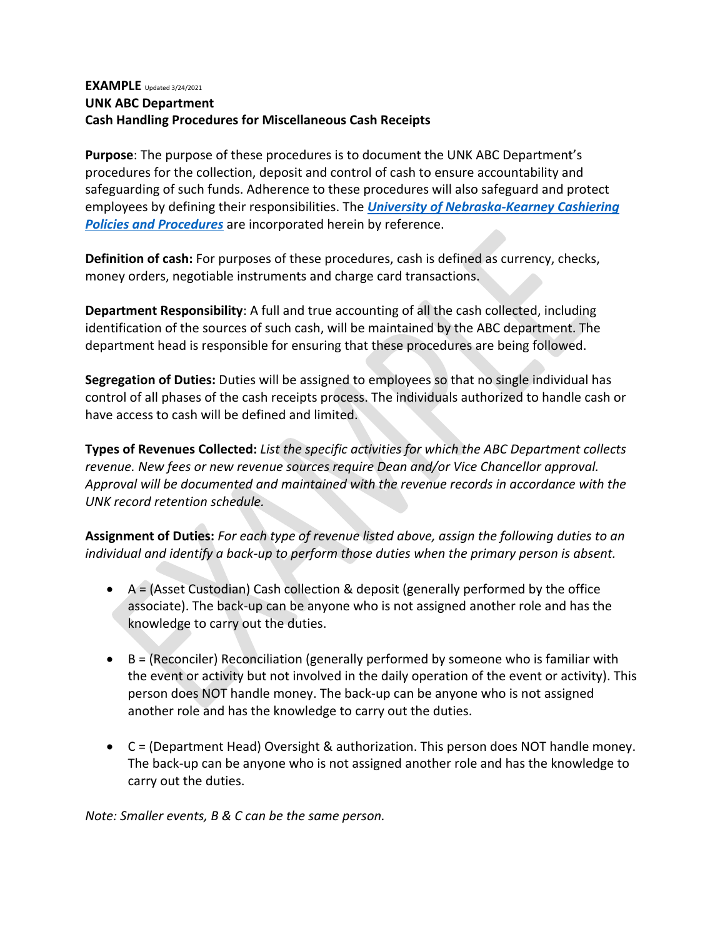#### **EXAMPLE** Updated 3/24/2021 **UNK ABC Department Cash Handling Procedures for Miscellaneous Cash Receipts**

**Purpose**: The purpose of these procedures is to document the UNK ABC Department's procedures for the collection, deposit and control of cash to ensure accountability and safeguarding of such funds. Adherence to these procedures will also safeguard and protect employees by defining their responsibilities. The *[University of Nebraska-Kearney](https://www.unk.edu/about/files/cash-money-handling-policy.pdf) Cashiering [Policies and Procedures](https://www.unk.edu/about/files/cash-money-handling-policy.pdf)* are incorporated herein by reference.

**Definition of cash:** For purposes of these procedures, cash is defined as currency, checks, money orders, negotiable instruments and charge card transactions.

**Department Responsibility**: A full and true accounting of all the cash collected, including identification of the sources of such cash, will be maintained by the ABC department. The department head is responsible for ensuring that these procedures are being followed.

**Segregation of Duties:** Duties will be assigned to employees so that no single individual has control of all phases of the cash receipts process. The individuals authorized to handle cash or have access to cash will be defined and limited.

**Types of Revenues Collected:** *List the specific activities for which the ABC Department collects revenue. New fees or new revenue sources require Dean and/or Vice Chancellor approval. Approval will be documented and maintained with the revenue records in accordance with the UNK record retention schedule.*

**Assignment of Duties:** *For each type of revenue listed above, assign the following duties to an individual and identify a back-up to perform those duties when the primary person is absent.*

- $\bullet$  A = (Asset Custodian) Cash collection & deposit (generally performed by the office associate). The back-up can be anyone who is not assigned another role and has the knowledge to carry out the duties.
- B = (Reconciler) Reconciliation (generally performed by someone who is familiar with the event or activity but not involved in the daily operation of the event or activity). This person does NOT handle money. The back-up can be anyone who is not assigned another role and has the knowledge to carry out the duties.
- C = (Department Head) Oversight & authorization. This person does NOT handle money. The back-up can be anyone who is not assigned another role and has the knowledge to carry out the duties.

*Note: Smaller events, B & C can be the same person.*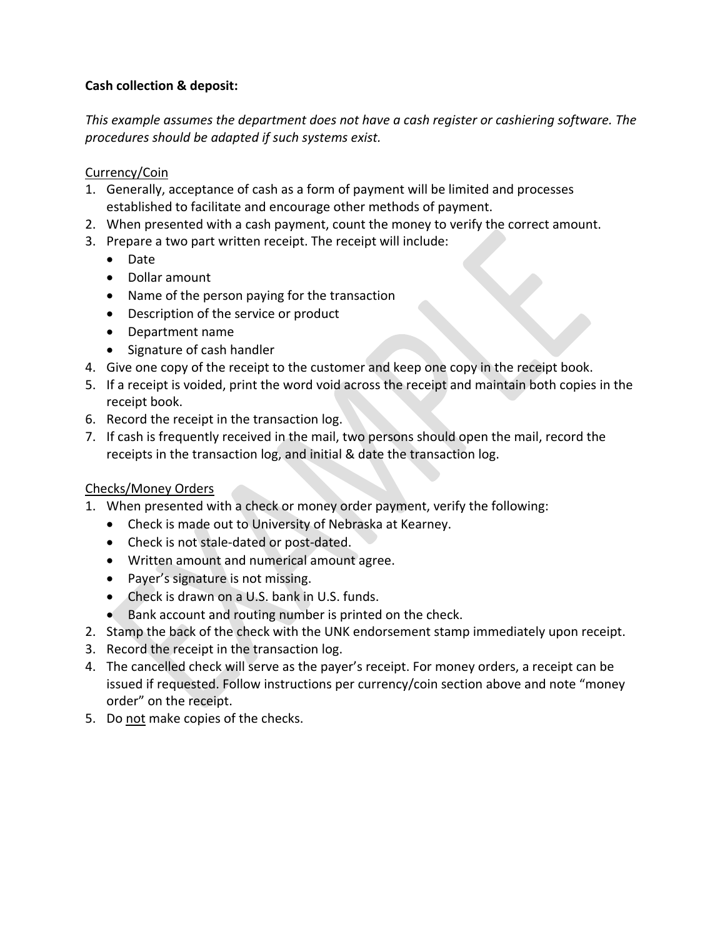## **Cash collection & deposit:**

*This example assumes the department does not have a cash register or cashiering software. The procedures should be adapted if such systems exist.* 

#### Currency/Coin

- 1. Generally, acceptance of cash as a form of payment will be limited and processes established to facilitate and encourage other methods of payment.
- 2. When presented with a cash payment, count the money to verify the correct amount.
- 3. Prepare a two part written receipt. The receipt will include:
	- Date
	- Dollar amount
	- Name of the person paying for the transaction
	- Description of the service or product
	- Department name
	- Signature of cash handler
- 4. Give one copy of the receipt to the customer and keep one copy in the receipt book.
- 5. If a receipt is voided, print the word void across the receipt and maintain both copies in the receipt book.
- 6. Record the receipt in the transaction log.
- 7. If cash is frequently received in the mail, two persons should open the mail, record the receipts in the transaction log, and initial & date the transaction log.

## Checks/Money Orders

- 1. When presented with a check or money order payment, verify the following:
	- Check is made out to University of Nebraska at Kearney.
	- Check is not stale-dated or post-dated.
	- Written amount and numerical amount agree.
	- Payer's signature is not missing.
	- Check is drawn on a U.S. bank in U.S. funds.
	- Bank account and routing number is printed on the check.
- 2. Stamp the back of the check with the UNK endorsement stamp immediately upon receipt.
- 3. Record the receipt in the transaction log.
- 4. The cancelled check will serve as the payer's receipt. For money orders, a receipt can be issued if requested. Follow instructions per currency/coin section above and note "money order" on the receipt.
- 5. Do not make copies of the checks.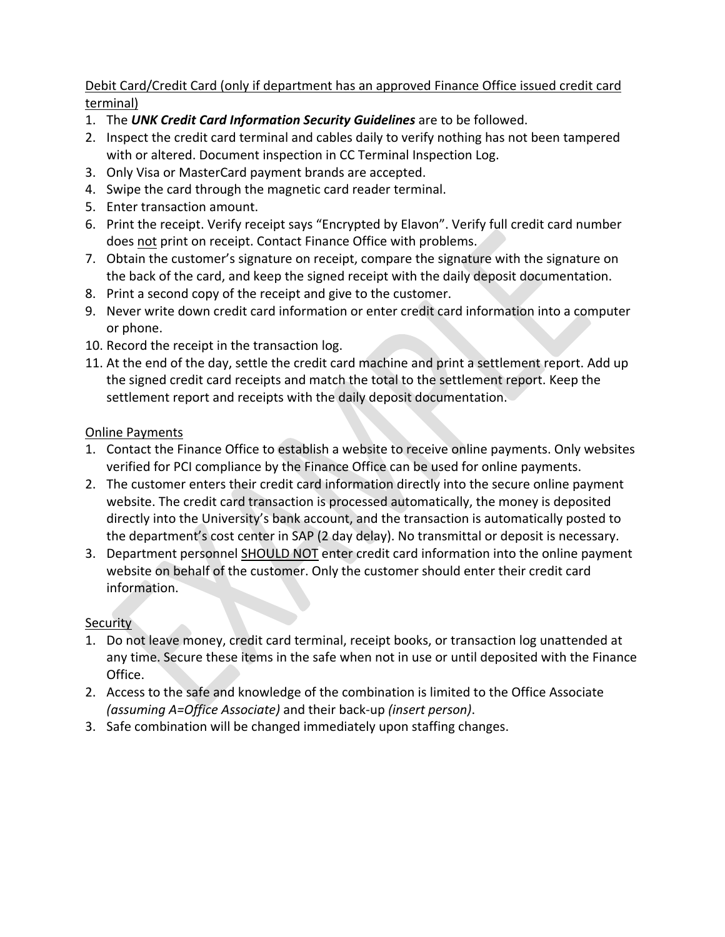## Debit Card/Credit Card (only if department has an approved Finance Office issued credit card terminal)

- 1. The *UNK Credit Card Information Security Guidelines* are to be followed.
- 2. Inspect the credit card terminal and cables daily to verify nothing has not been tampered with or altered. Document inspection in CC Terminal Inspection Log.
- 3. Only Visa or MasterCard payment brands are accepted.
- 4. Swipe the card through the magnetic card reader terminal.
- 5. Enter transaction amount.
- 6. Print the receipt. Verify receipt says "Encrypted by Elavon". Verify full credit card number does not print on receipt. Contact Finance Office with problems.
- 7. Obtain the customer's signature on receipt, compare the signature with the signature on the back of the card, and keep the signed receipt with the daily deposit documentation.
- 8. Print a second copy of the receipt and give to the customer.
- 9. Never write down credit card information or enter credit card information into a computer or phone.
- 10. Record the receipt in the transaction log.
- 11. At the end of the day, settle the credit card machine and print a settlement report. Add up the signed credit card receipts and match the total to the settlement report. Keep the settlement report and receipts with the daily deposit documentation.

## Online Payments

- 1. Contact the Finance Office to establish a website to receive online payments. Only websites verified for PCI compliance by the Finance Office can be used for online payments.
- 2. The customer enters their credit card information directly into the secure online payment website. The credit card transaction is processed automatically, the money is deposited directly into the University's bank account, and the transaction is automatically posted to the department's cost center in SAP (2 day delay). No transmittal or deposit is necessary.
- 3. Department personnel SHOULD NOT enter credit card information into the online payment website on behalf of the customer. Only the customer should enter their credit card information.

# **Security**

- 1. Do not leave money, credit card terminal, receipt books, or transaction log unattended at any time. Secure these items in the safe when not in use or until deposited with the Finance Office.
- 2. Access to the safe and knowledge of the combination is limited to the Office Associate *(assuming A=Office Associate)* and their back-up *(insert person)*.
- 3. Safe combination will be changed immediately upon staffing changes.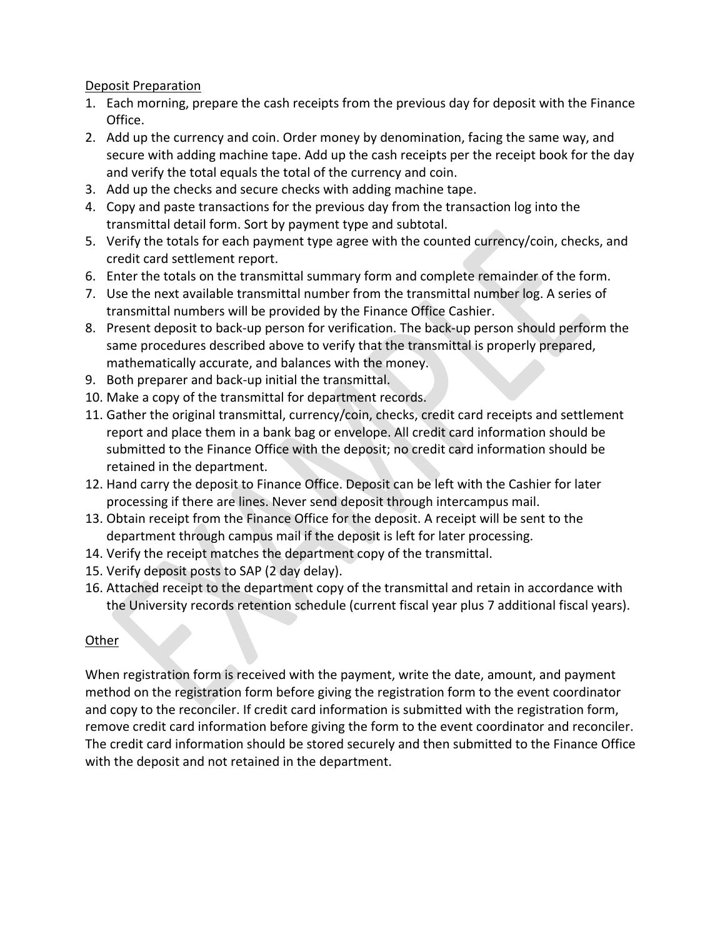#### Deposit Preparation

- 1. Each morning, prepare the cash receipts from the previous day for deposit with the Finance Office.
- 2. Add up the currency and coin. Order money by denomination, facing the same way, and secure with adding machine tape. Add up the cash receipts per the receipt book for the day and verify the total equals the total of the currency and coin.
- 3. Add up the checks and secure checks with adding machine tape.
- 4. Copy and paste transactions for the previous day from the transaction log into the transmittal detail form. Sort by payment type and subtotal.
- 5. Verify the totals for each payment type agree with the counted currency/coin, checks, and credit card settlement report.
- 6. Enter the totals on the transmittal summary form and complete remainder of the form.
- 7. Use the next available transmittal number from the transmittal number log. A series of transmittal numbers will be provided by the Finance Office Cashier.
- 8. Present deposit to back-up person for verification. The back-up person should perform the same procedures described above to verify that the transmittal is properly prepared, mathematically accurate, and balances with the money.
- 9. Both preparer and back-up initial the transmittal.
- 10. Make a copy of the transmittal for department records.
- 11. Gather the original transmittal, currency/coin, checks, credit card receipts and settlement report and place them in a bank bag or envelope. All credit card information should be submitted to the Finance Office with the deposit; no credit card information should be retained in the department.
- 12. Hand carry the deposit to Finance Office. Deposit can be left with the Cashier for later processing if there are lines. Never send deposit through intercampus mail.
- 13. Obtain receipt from the Finance Office for the deposit. A receipt will be sent to the department through campus mail if the deposit is left for later processing.
- 14. Verify the receipt matches the department copy of the transmittal.
- 15. Verify deposit posts to SAP (2 day delay).
- 16. Attached receipt to the department copy of the transmittal and retain in accordance with the University records retention schedule (current fiscal year plus 7 additional fiscal years).

## Other

When registration form is received with the payment, write the date, amount, and payment method on the registration form before giving the registration form to the event coordinator and copy to the reconciler. If credit card information is submitted with the registration form, remove credit card information before giving the form to the event coordinator and reconciler. The credit card information should be stored securely and then submitted to the Finance Office with the deposit and not retained in the department.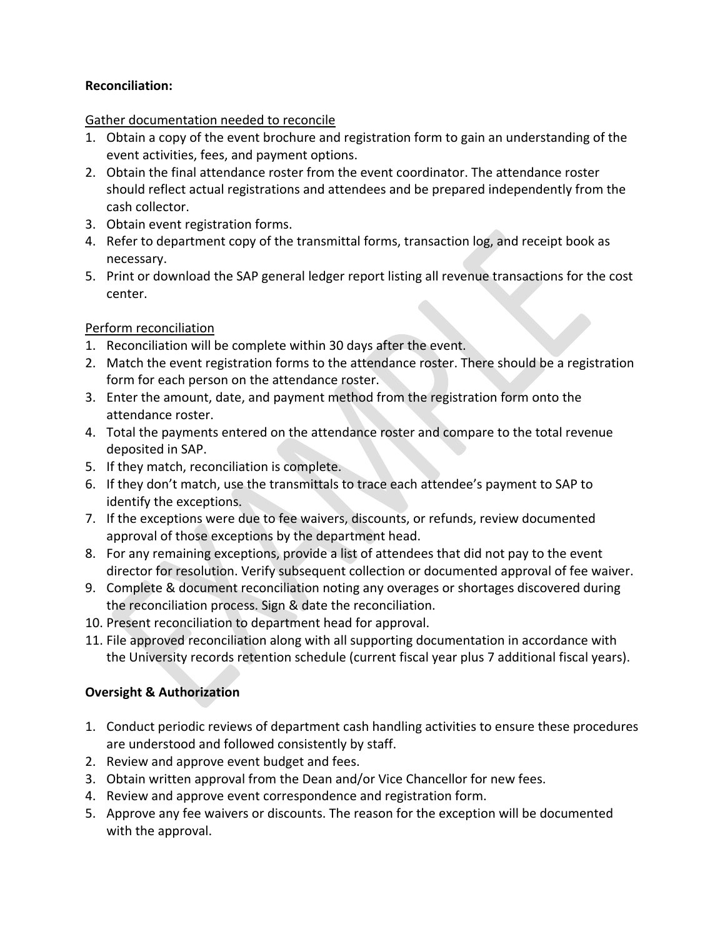## **Reconciliation:**

## Gather documentation needed to reconcile

- 1. Obtain a copy of the event brochure and registration form to gain an understanding of the event activities, fees, and payment options.
- 2. Obtain the final attendance roster from the event coordinator. The attendance roster should reflect actual registrations and attendees and be prepared independently from the cash collector.
- 3. Obtain event registration forms.
- 4. Refer to department copy of the transmittal forms, transaction log, and receipt book as necessary.
- 5. Print or download the SAP general ledger report listing all revenue transactions for the cost center.

## Perform reconciliation

- 1. Reconciliation will be complete within 30 days after the event.
- 2. Match the event registration forms to the attendance roster. There should be a registration form for each person on the attendance roster.
- 3. Enter the amount, date, and payment method from the registration form onto the attendance roster.
- 4. Total the payments entered on the attendance roster and compare to the total revenue deposited in SAP.
- 5. If they match, reconciliation is complete.
- 6. If they don't match, use the transmittals to trace each attendee's payment to SAP to identify the exceptions.
- 7. If the exceptions were due to fee waivers, discounts, or refunds, review documented approval of those exceptions by the department head.
- 8. For any remaining exceptions, provide a list of attendees that did not pay to the event director for resolution. Verify subsequent collection or documented approval of fee waiver.
- 9. Complete & document reconciliation noting any overages or shortages discovered during the reconciliation process. Sign & date the reconciliation.
- 10. Present reconciliation to department head for approval.
- 11. File approved reconciliation along with all supporting documentation in accordance with the University records retention schedule (current fiscal year plus 7 additional fiscal years).

# **Oversight & Authorization**

- 1. Conduct periodic reviews of department cash handling activities to ensure these procedures are understood and followed consistently by staff.
- 2. Review and approve event budget and fees.
- 3. Obtain written approval from the Dean and/or Vice Chancellor for new fees.
- 4. Review and approve event correspondence and registration form.
- 5. Approve any fee waivers or discounts. The reason for the exception will be documented with the approval.